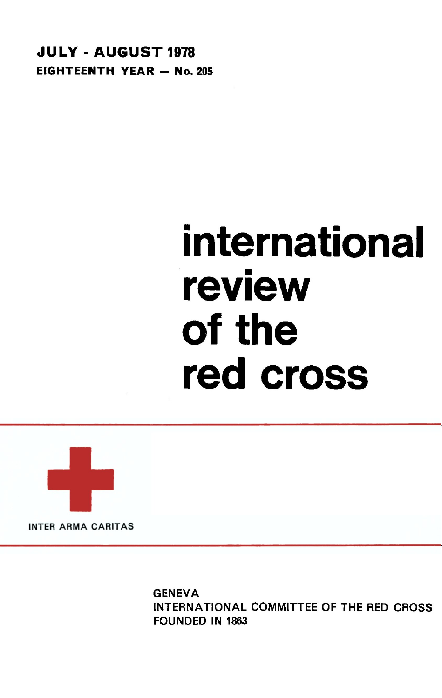**JULY-AUGUST 1978 EIGHTEENTH YEAR - No. 205** 

# **international review of the red cross**



**GENEVA** INTERNATIONAL COMMITTEE OF THE RED CROSS FOUNDED IN 1863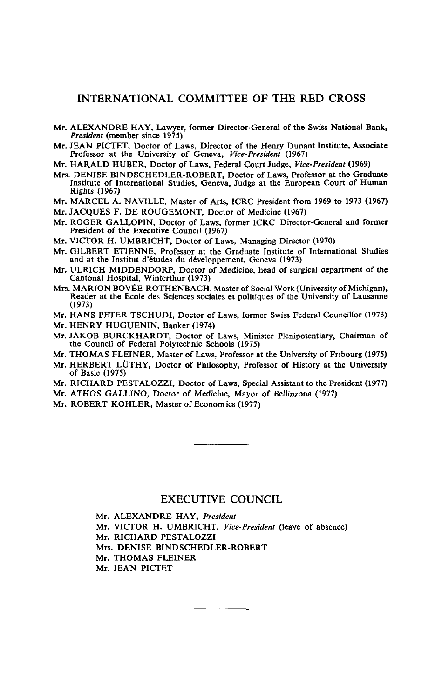#### INTERNATIONAL COMMITTEE OF THE RED CROSS

- Mr. ALEXANDRE HAY, Lawyer, former Director-General of the Swiss National Bank, *President* (member since 1975)
- Mr. JEAN PICTET, Doctor of Laws, Director of the Henry Dunant Institute, Associate Professor at the University of Geneva, Vice-President (1967)
- Mr. HARALD HUBER, Doctor of Laws. Federal Court Judge, Vice-President (1969)
- Mrs. DENISE BINDSCHEDLER-ROBERT, Doctor of Laws, Professor at the Graduate  $M_{\rm B}$ . Desitute of International Studies. Geneval Judge at the Furonean Court of Human  $Rights(1967)$
- Mr. MARCEL A. NAVILLE, Master of Arts, ICRC President from 1969 to 1973 (1967)
- Mr. JACQUES F. DE ROUGEMONT, Doctor of Medicine (1967)
- Mr. ROGER GALLOPIN. Doctor of Laws. former ICRC Director-General and former President of the Executive Council (1967)
- Mr. VICTOR H. UMBRICHT, Doctor of Laws, Managing Director (1970)
- Mr. GILBERT ETIENNE. Professor at the Graduate Institute of International Studies and at the Institut d'études du développement, Geneva (1973)
- Mr. ULRICH MIDDENDORP, Doctor of Medicine, head of surgical department of the Cantonal Hospital, Winterthur (1973)
- Mrs. MARION BOVÉE-ROTHENBACH, Master of Social Work (University of Michigan), Reader at the Ecole des Sciences sociales et politiques of the University of Lausanne  $(1973)$
- Mr. HANS PETER TSCHUDI, Doctor of Laws, former Swiss Federal Councillor (1973)
- Mr. HENRY HUGUENIN, Banker (1974)
- Mr. JAKOB BURCKHARDT, Doctor of Laws, Minister Pleninotentiary, Chairman of the Council of Federal Polytechnic Sc
- Mr. THOMAS FLEINER, Master of Laws, Professor at the University of Fribourg (1975)
- Mr. HERBERT LÜTHY, Doctor of Philosophy, Professor of History at the University of Basle (1975)  $\sigma$  Flexiber (1975) **FLEIDER, Professor at the University of Professor** at the University of Fribourg (1975)
- Mr. RICHARD PESTALOZZI, Doctor of Laws, Special Assistant to the President  $(1977)$
- Mr. ATHOS GALLINO, Doctor of Medicine, Mayor of Bellinzona (1977)
- Mr. ROBERT KOHLER, Master of Economics (1977)

#### EXECUTIVE COUNCIL

Mr. ALEXANDRE HAY, *President* Mr. VICTOR H. UMBRICHT, *Vice-President* (leave of absence) Mr. RICHARD PESTALOZZI Mrs. DENISE BINDSCHEDLER-ROBERT Mr. THOMAS FLEINER Mr. JEAN PICTET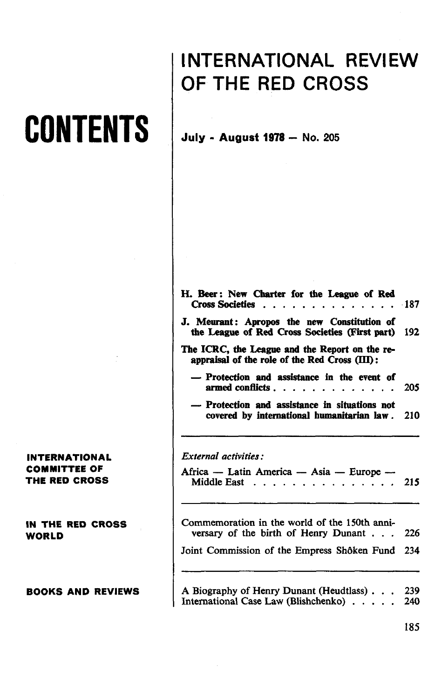## **CONTENTS**

**INTERNATIONAL COMMITTEE OF THE RED CROSS**

**IN THE RED CROSS WORLD**

**BOOKS AND REVIEWS**

### **INTERNATIONAL REVIEW OF THE RED CROSS**

**July - August 1978 — No. 205**

| H. Beer: New Charter for the League of Red<br><b>Cross Societies </b><br><u>in a shekara</u>      | . 187 |
|---------------------------------------------------------------------------------------------------|-------|
| J. Meurant: Apropos the new Constitution of<br>the League of Red Cross Societies (First part) 192 |       |
| The ICRC, the League and the Report on the re-<br>appraisal of the role of the Red Cross (III):   |       |
| — Protection and assistance in the event of<br>armed conflicts                                    | 205   |
| - Protection and assistance in situations not<br>covered by international humanitarian law.       | 210   |
|                                                                                                   |       |
| External activities:                                                                              |       |
| Africa — Latin America — Asia — Europe —<br>Middle East 215                                       |       |
| Commemoration in the world of the 150th anni-<br>versary of the birth of Henry Dunant             | 226   |